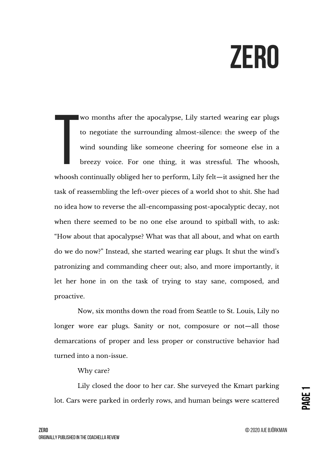## **Zero**

wo months after the apocalypse, Lily started wearing ear plugs to negotiate the surrounding almost-silence: the sweep of the wind sounding like someone cheering for someone else in a breezy voice. For one thing, it was stressful. The whoosh, whoosh continually obliged her to perform, Lily felt—it assigned her the task of reassembling the left-over pieces of a world shot to shit. She had no idea how to reverse the all-encompassing post-apocalyptic decay, not when there seemed to be no one else around to spitball with, to ask: "How about that apocalypse? What was that all about, and what on earth do we do now?" Instead, she started wearing ear plugs. It shut the wind's patronizing and commanding cheer out; also, and more importantly, it let her hone in on the task of trying to stay sane, composed, and proactive. **The Contract Contract Contract Contract Contract Contract Contract Contract Contract Contract Contract Contract Contract Contract Contract Contract Contract Contract Contract Contract Contract Contract Contract Contract C** 

Now, six months down the road from Seattle to St. Louis, Lily no longer wore ear plugs. Sanity or not, composure or not—all those demarcations of proper and less proper or constructive behavior had turned into a non-issue.

## Why care?

Lily closed the door to her car. She surveyed the Kmart parking lot. Cars were parked in orderly rows, and human beings were scattered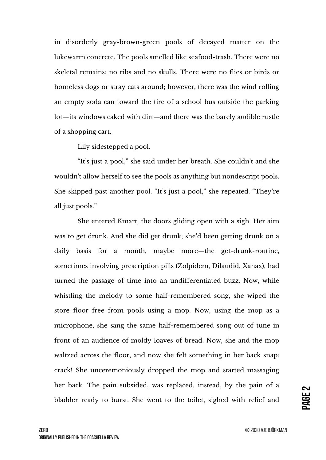in disorderly gray-brown-green pools of decayed matter on the lukewarm concrete. The pools smelled like seafood-trash. There were no skeletal remains: no ribs and no skulls. There were no flies or birds or homeless dogs or stray cats around; however, there was the wind rolling an empty soda can toward the tire of a school bus outside the parking lot—its windows caked with dirt—and there was the barely audible rustle of a shopping cart.

Lily sidestepped a pool.

"It's just a pool," she said under her breath. She couldn't and she wouldn't allow herself to see the pools as anything but nondescript pools. She skipped past another pool. "It's just a pool," she repeated. "They're all just pools."

She entered Kmart, the doors gliding open with a sigh. Her aim was to get drunk. And she did get drunk; she'd been getting drunk on a daily basis for a month, maybe more—the get-drunk-routine, sometimes involving prescription pills (Zolpidem, Dilaudid, Xanax), had turned the passage of time into an undifferentiated buzz. Now, while whistling the melody to some half-remembered song, she wiped the store floor free from pools using a mop. Now, using the mop as a microphone, she sang the same half-remembered song out of tune in front of an audience of moldy loaves of bread. Now, she and the mop waltzed across the floor, and now she felt something in her back snap: crack! She unceremoniously dropped the mop and started massaging her back. The pain subsided, was replaced, instead, by the pain of a bladder ready to burst. She went to the toilet, sighed with relief and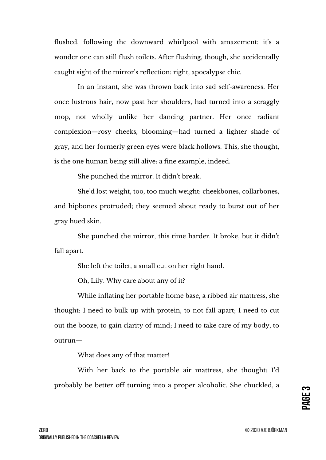flushed, following the downward whirlpool with amazement: it's a wonder one can still flush toilets. After flushing, though, she accidentally caught sight of the mirror's reflection: right, apocalypse chic.

In an instant, she was thrown back into sad self-awareness. Her once lustrous hair, now past her shoulders, had turned into a scraggly mop, not wholly unlike her dancing partner. Her once radiant complexion—rosy cheeks, blooming—had turned a lighter shade of gray, and her formerly green eyes were black hollows. This, she thought, is the one human being still alive: a fine example, indeed.

She punched the mirror. It didn't break.

She'd lost weight, too, too much weight: cheekbones, collarbones, and hipbones protruded; they seemed about ready to burst out of her gray hued skin.

She punched the mirror, this time harder. It broke, but it didn't fall apart.

She left the toilet, a small cut on her right hand.

Oh, Lily. Why care about any of it?

While inflating her portable home base, a ribbed air mattress, she thought: I need to bulk up with protein, to not fall apart; I need to cut out the booze, to gain clarity of mind; I need to take care of my body, to outrun—

What does any of that matter!

With her back to the portable air mattress, she thought: I'd probably be better off turning into a proper alcoholic. She chuckled, a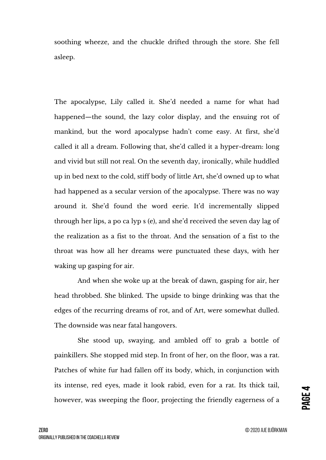soothing wheeze, and the chuckle drifted through the store. She fell asleep.

The apocalypse, Lily called it. She'd needed a name for what had happened—the sound, the lazy color display, and the ensuing rot of mankind, but the word apocalypse hadn't come easy. At first, she'd called it all a dream. Following that, she'd called it a hyper-dream: long and vivid but still not real. On the seventh day, ironically, while huddled up in bed next to the cold, stiff body of little Art, she'd owned up to what had happened as a secular version of the apocalypse. There was no way around it. She'd found the word eerie. It'd incrementally slipped through her lips, a po ca lyp s (e), and she'd received the seven day lag of the realization as a fist to the throat. And the sensation of a fist to the throat was how all her dreams were punctuated these days, with her waking up gasping for air.

And when she woke up at the break of dawn, gasping for air, her head throbbed. She blinked. The upside to binge drinking was that the edges of the recurring dreams of rot, and of Art, were somewhat dulled. The downside was near fatal hangovers.

She stood up, swaying, and ambled off to grab a bottle of painkillers. She stopped mid step. In front of her, on the floor, was a rat. Patches of white fur had fallen off its body, which, in conjunction with its intense, red eyes, made it look rabid, even for a rat. Its thick tail, however, was sweeping the floor, projecting the friendly eagerness of a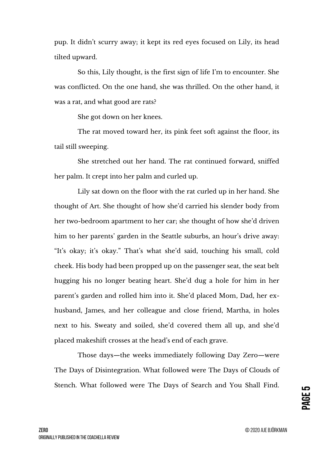pup. It didn't scurry away; it kept its red eyes focused on Lily, its head tilted upward.

So this, Lily thought, is the first sign of life I'm to encounter. She was conflicted. On the one hand, she was thrilled. On the other hand, it was a rat, and what good are rats?

She got down on her knees.

The rat moved toward her, its pink feet soft against the floor, its tail still sweeping.

She stretched out her hand. The rat continued forward, sniffed her palm. It crept into her palm and curled up.

Lily sat down on the floor with the rat curled up in her hand. She thought of Art. She thought of how she'd carried his slender body from her two-bedroom apartment to her car; she thought of how she'd driven him to her parents' garden in the Seattle suburbs, an hour's drive away: "It's okay; it's okay." That's what she'd said, touching his small, cold cheek. His body had been propped up on the passenger seat, the seat belt hugging his no longer beating heart. She'd dug a hole for him in her parent's garden and rolled him into it. She'd placed Mom, Dad, her exhusband, James, and her colleague and close friend, Martha, in holes next to his. Sweaty and soiled, she'd covered them all up, and she'd placed makeshift crosses at the head's end of each grave.

Those days—the weeks immediately following Day Zero—were The Days of Disintegration. What followed were The Days of Clouds of Stench. What followed were The Days of Search and You Shall Find.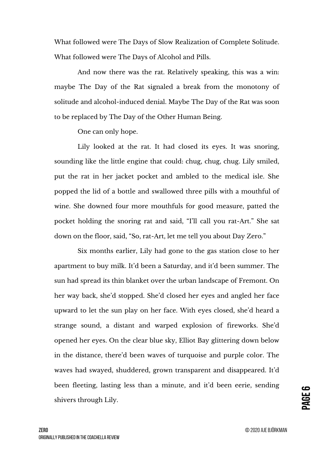What followed were The Days of Slow Realization of Complete Solitude. What followed were The Days of Alcohol and Pills.

And now there was the rat. Relatively speaking, this was a win: maybe The Day of the Rat signaled a break from the monotony of solitude and alcohol-induced denial. Maybe The Day of the Rat was soon to be replaced by The Day of the Other Human Being.

One can only hope.

Lily looked at the rat. It had closed its eyes. It was snoring, sounding like the little engine that could: chug, chug, chug. Lily smiled, put the rat in her jacket pocket and ambled to the medical isle. She popped the lid of a bottle and swallowed three pills with a mouthful of wine. She downed four more mouthfuls for good measure, patted the pocket holding the snoring rat and said, "I'll call you rat-Art." She sat down on the floor, said, "So, rat-Art, let me tell you about Day Zero."

Six months earlier, Lily had gone to the gas station close to her apartment to buy milk. It'd been a Saturday, and it'd been summer. The sun had spread its thin blanket over the urban landscape of Fremont. On her way back, she'd stopped. She'd closed her eyes and angled her face upward to let the sun play on her face. With eyes closed, she'd heard a strange sound, a distant and warped explosion of fireworks. She'd opened her eyes. On the clear blue sky, Elliot Bay glittering down below in the distance, there'd been waves of turquoise and purple color. The waves had swayed, shuddered, grown transparent and disappeared. It'd been fleeting, lasting less than a minute, and it'd been eerie, sending shivers through Lily.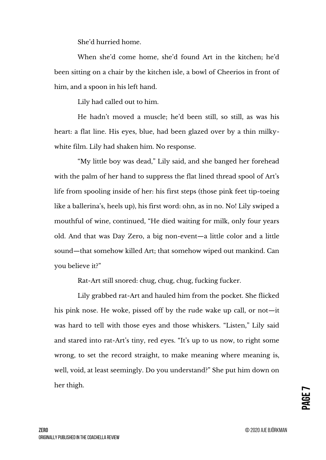She'd hurried home.

When she'd come home, she'd found Art in the kitchen; he'd been sitting on a chair by the kitchen isle, a bowl of Cheerios in front of him, and a spoon in his left hand.

Lily had called out to him.

He hadn't moved a muscle; he'd been still, so still, as was his heart: a flat line. His eyes, blue, had been glazed over by a thin milkywhite film. Lily had shaken him. No response.

"My little boy was dead," Lily said, and she banged her forehead with the palm of her hand to suppress the flat lined thread spool of Art's life from spooling inside of her: his first steps (those pink feet tip-toeing like a ballerina's, heels up), his first word: ohn, as in no. No! Lily swiped a mouthful of wine, continued, "He died waiting for milk, only four years old. And that was Day Zero, a big non-event—a little color and a little sound—that somehow killed Art; that somehow wiped out mankind. Can you believe it?"

Rat-Art still snored: chug, chug, chug, fucking fucker.

Lily grabbed rat-Art and hauled him from the pocket. She flicked his pink nose. He woke, pissed off by the rude wake up call, or not—it was hard to tell with those eyes and those whiskers. "Listen," Lily said and stared into rat-Art's tiny, red eyes. "It's up to us now, to right some wrong, to set the record straight, to make meaning where meaning is, well, void, at least seemingly. Do you understand?" She put him down on her thigh.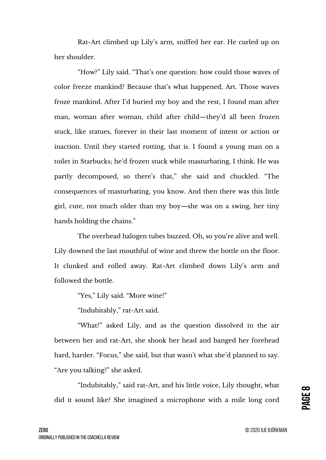Rat-Art climbed up Lily's arm, sniffed her ear. He curled up on her shoulder.

"How?" Lily said. "That's one question: how could those waves of color freeze mankind? Because that's what happened, Art. Those waves froze mankind. After I'd buried my boy and the rest, I found man after man, woman after woman, child after child—they'd all been frozen stuck, like statues, forever in their last moment of intent or action or inaction. Until they started rotting, that is. I found a young man on a toilet in Starbucks; he'd frozen stuck while masturbating, I think. He was partly decomposed, so there's that," she said and chuckled. "The consequences of masturbating, you know. And then there was this little girl, cute, not much older than my boy—she was on a swing, her tiny hands holding the chains."

The overhead halogen tubes buzzed. Oh, so you're alive and well. Lily downed the last mouthful of wine and threw the bottle on the floor. It clunked and rolled away. Rat-Art climbed down Lily's arm and followed the bottle.

"Yes," Lily said. "More wine!"

"Indubitably," rat-Art said.

"What?" asked Lily, and as the question dissolved in the air between her and rat-Art, she shook her head and banged her forehead hard, harder. "Focus," she said, but that wasn't what she'd planned to say. "Are you talking?" she asked.

"Indubitably," said rat-Art, and his little voice, Lily thought, what did it sound like? She imagined a microphone with a mile long cord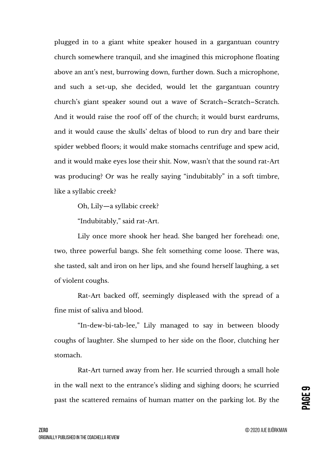plugged in to a giant white speaker housed in a gargantuan country church somewhere tranquil, and she imagined this microphone floating above an ant's nest, burrowing down, further down. Such a microphone, and such a set-up, she decided, would let the gargantuan country church's giant speaker sound out a wave of Scratch–Scratch–Scratch. And it would raise the roof off of the church; it would burst eardrums, and it would cause the skulls' deltas of blood to run dry and bare their spider webbed floors; it would make stomachs centrifuge and spew acid, and it would make eyes lose their shit. Now, wasn't that the sound rat-Art was producing? Or was he really saying "indubitably" in a soft timbre, like a syllabic creek?

Oh, Lily—a syllabic creek?

"Indubitably," said rat-Art.

Lily once more shook her head. She banged her forehead: one, two, three powerful bangs. She felt something come loose. There was, she tasted, salt and iron on her lips, and she found herself laughing, a set of violent coughs.

Rat-Art backed off, seemingly displeased with the spread of a fine mist of saliva and blood.

"In-dew-bi-tab-lee," Lily managed to say in between bloody coughs of laughter. She slumped to her side on the floor, clutching her stomach.

Rat-Art turned away from her. He scurried through a small hole in the wall next to the entrance's sliding and sighing doors; he scurried past the scattered remains of human matter on the parking lot. By the